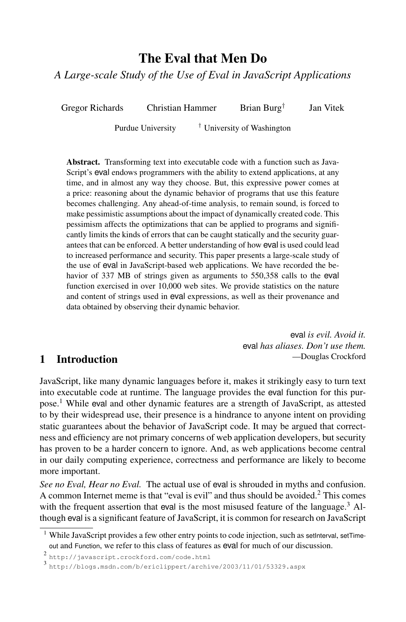# The Eval that Men Do

*A Large-scale Study of the Use of Eval in JavaScript Applications*

Gregor Richards Christian Hammer Brian Burg<sup>†</sup> Jan Vitek

Purdue University † University of Washington

Abstract. Transforming text into executable code with a function such as Java-Script's eval endows programmers with the ability to extend applications, at any time, and in almost any way they choose. But, this expressive power comes at a price: reasoning about the dynamic behavior of programs that use this feature becomes challenging. Any ahead-of-time analysis, to remain sound, is forced to make pessimistic assumptions about the impact of dynamically created code. This pessimism affects the optimizations that can be applied to programs and significantly limits the kinds of errors that can be caught statically and the security guarantees that can be enforced. A better understanding of how eval is used could lead to increased performance and security. This paper presents a large-scale study of the use of eval in JavaScript-based web applications. We have recorded the behavior of 337 MB of strings given as arguments to 550,358 calls to the eval function exercised in over 10,000 web sites. We provide statistics on the nature and content of strings used in eval expressions, as well as their provenance and data obtained by observing their dynamic behavior.

eval *is evil. Avoid it.* eval *has aliases. Don't use them.* 1 Introduction – Douglas Crockford

JavaScript, like many dynamic languages before it, makes it strikingly easy to turn text into executable code at runtime. The language provides the eval function for this purpose.[1](#page-0-0) While eval and other dynamic features are a strength of JavaScript, as attested to by their widespread use, their presence is a hindrance to anyone intent on providing static guarantees about the behavior of JavaScript code. It may be argued that correctness and efficiency are not primary concerns of web application developers, but security has proven to be a harder concern to ignore. And, as web applications become central in our daily computing experience, correctness and performance are likely to become more important.

*See no Eval, Hear no Eval.* The actual use of eval is shrouded in myths and confusion. A common Internet meme is that "eval is evil" and thus should be avoided.[2](#page-0-1) This comes with the frequent assertion that eval is the most misused feature of the language.<sup>[3](#page-0-2)</sup> Although eval is a significant feature of JavaScript, it is common for research on JavaScript

<span id="page-0-0"></span><sup>&</sup>lt;sup>1</sup> While JavaScript provides a few other entry points to code injection, such as setInterval, setTimeout and Function, we refer to this class of features as eval for much of our discussion.

<span id="page-0-1"></span><sup>2&</sup>lt;br><http://javascript.crockford.com/code.html>

<span id="page-0-2"></span><sup>3</sup> <http://blogs.msdn.com/b/ericlippert/archive/2003/11/01/53329.aspx>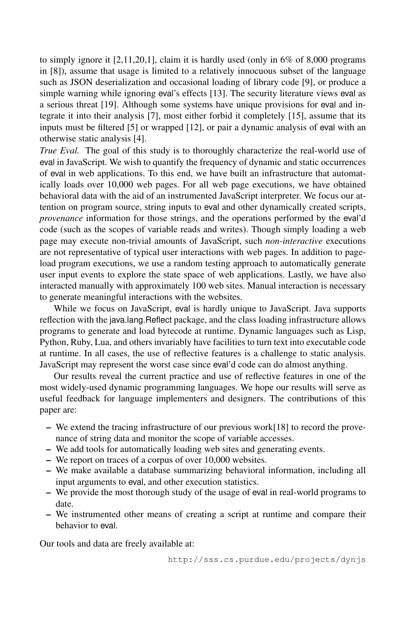to simply ignore it [\[2](#page-24-0)[,11,](#page-24-1)[20,](#page-25-0)[1\]](#page-24-2), claim it is hardly used (only in 6% of 8,000 programs in [\[8\]](#page-24-3)), assume that usage is limited to a relatively innocuous subset of the language such as JSON deserialization and occasional loading of library code [\[9\]](#page-24-4), or produce a simple warning while ignoring eval's effects [\[13\]](#page-24-5). The security literature views eval as a serious threat [\[19\]](#page-25-1). Although some systems have unique provisions for eval and integrate it into their analysis [\[7\]](#page-24-6), most either forbid it completely [\[15\]](#page-24-7), assume that its inputs must be filtered [\[5\]](#page-24-8) or wrapped [\[12\]](#page-24-9), or pair a dynamic analysis of eval with an otherwise static analysis [\[4\]](#page-24-10).

*True Eval.* The goal of this study is to thoroughly characterize the real-world use of eval in JavaScript. We wish to quantify the frequency of dynamic and static occurrences of eval in web applications. To this end, we have built an infrastructure that automatically loads over 10,000 web pages. For all web page executions, we have obtained behavioral data with the aid of an instrumented JavaScript interpreter. We focus our attention on program source, string inputs to eval and other dynamically created scripts, *provenance* information for those strings, and the operations performed by the eval'd code (such as the scopes of variable reads and writes). Though simply loading a web page may execute non-trivial amounts of JavaScript, such *non-interactive* executions are not representative of typical user interactions with web pages. In addition to pageload program executions, we use a random testing approach to automatically generate user input events to explore the state space of web applications. Lastly, we have also interacted manually with approximately 100 web sites. Manual interaction is necessary to generate meaningful interactions with the websites.

While we focus on JavaScript, eval is hardly unique to JavaScript. Java supports reflection with the java.lang.Reflect package, and the class loading infrastructure allows programs to generate and load bytecode at runtime. Dynamic languages such as Lisp, Python, Ruby, Lua, and others invariably have facilities to turn text into executable code at runtime. In all cases, the use of reflective features is a challenge to static analysis. JavaScript may represent the worst case since eval'd code can do almost anything.

Our results reveal the current practice and use of reflective features in one of the most widely-used dynamic programming languages. We hope our results will serve as useful feedback for language implementers and designers. The contributions of this paper are:

- We extend the tracing infrastructure of our previous work[\[18\]](#page-25-2) to record the provenance of string data and monitor the scope of variable accesses.
- We add tools for automatically loading web sites and generating events.
- We report on traces of a corpus of over 10,000 websites.
- We make available a database summarizing behavioral information, including all input arguments to eval, and other execution statistics.
- We provide the most thorough study of the usage of eval in real-world programs to date.
- We instrumented other means of creating a script at runtime and compare their behavior to eval.

Our tools and data are freely available at: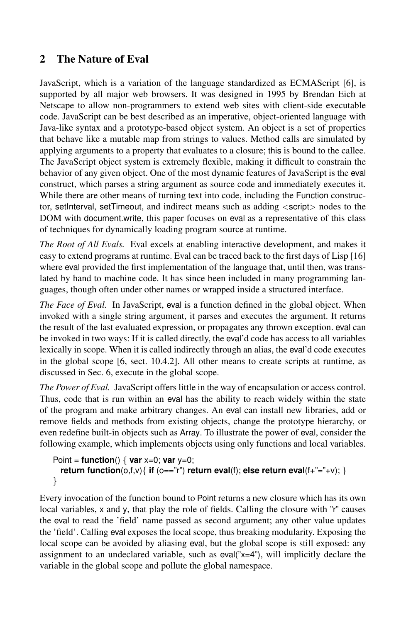## 2 The Nature of Eval

JavaScript, which is a variation of the language standardized as ECMAScript [\[6\]](#page-24-11), is supported by all major web browsers. It was designed in 1995 by Brendan Eich at Netscape to allow non-programmers to extend web sites with client-side executable code. JavaScript can be best described as an imperative, object-oriented language with Java-like syntax and a prototype-based object system. An object is a set of properties that behave like a mutable map from strings to values. Method calls are simulated by applying arguments to a property that evaluates to a closure; this is bound to the callee. The JavaScript object system is extremely flexible, making it difficult to constrain the behavior of any given object. One of the most dynamic features of JavaScript is the eval construct, which parses a string argument as source code and immediately executes it. While there are other means of turning text into code, including the Function constructor, setInterval, setTimeout, and indirect means such as adding <script> nodes to the DOM with document.write, this paper focuses on eval as a representative of this class of techniques for dynamically loading program source at runtime.

*The Root of All Evals.* Eval excels at enabling interactive development, and makes it easy to extend programs at runtime. Eval can be traced back to the first days of Lisp [\[16\]](#page-24-12) where eval provided the first implementation of the language that, until then, was translated by hand to machine code. It has since been included in many programming languages, though often under other names or wrapped inside a structured interface.

*The Face of Eval.* In JavaScript, eval is a function defined in the global object. When invoked with a single string argument, it parses and executes the argument. It returns the result of the last evaluated expression, or propagates any thrown exception. eval can be invoked in two ways: If it is called directly, the eval'd code has access to all variables lexically in scope. When it is called indirectly through an alias, the eval'd code executes in the global scope [\[6,](#page-24-11) sect. 10.4.2]. All other means to create scripts at runtime, as discussed in Sec. [6,](#page-17-0) execute in the global scope.

*The Power of Eval.* JavaScript offers little in the way of encapsulation or access control. Thus, code that is run within an eval has the ability to reach widely within the state of the program and make arbitrary changes. An eval can install new libraries, add or remove fields and methods from existing objects, change the prototype hierarchy, or even redefine built-in objects such as Array. To illustrate the power of eval, consider the following example, which implements objects using only functions and local variables.

```
Point = function() { var x=0; var y=0;
  return function(o, f, v) { if (o = v^2r^2) return eval(f); else return eval(f + v^2 = v^2 + v); }
}
```
Every invocation of the function bound to Point returns a new closure which has its own local variables, x and y, that play the role of fields. Calling the closure with "r" causes the eval to read the 'field' name passed as second argument; any other value updates the 'field'. Calling eval exposes the local scope, thus breaking modularity. Exposing the local scope can be avoided by aliasing eval, but the global scope is still exposed: any assignment to an undeclared variable, such as eval("x=4"), will implicitly declare the variable in the global scope and pollute the global namespace.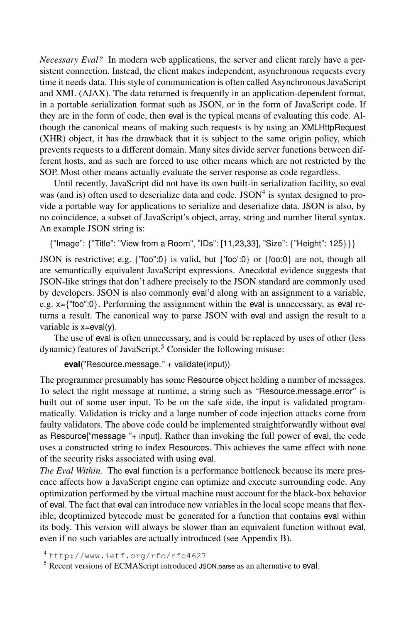*Necessary Eval?* In modern web applications, the server and client rarely have a persistent connection. Instead, the client makes independent, asynchronous requests every time it needs data. This style of communication is often called Asynchronous JavaScript and XML (AJAX). The data returned is frequently in an application-dependent format, in a portable serialization format such as JSON, or in the form of JavaScript code. If they are in the form of code, then eval is the typical means of evaluating this code. Although the canonical means of making such requests is by using an XMLHttpRequest (XHR) object, it has the drawback that it is subject to the same origin policy, which prevents requests to a different domain. Many sites divide server functions between different hosts, and as such are forced to use other means which are not restricted by the SOP. Most other means actually evaluate the server response as code regardless.

Until recently, JavaScript did not have its own built-in serialization facility, so eval was (and is) often used to deserialize data and code. JSON<sup>[4](#page-3-0)</sup> is syntax designed to provide a portable way for applications to serialize and deserialize data. JSON is also, by no coincidence, a subset of JavaScript's object, array, string and number literal syntax. An example JSON string is:

{"Image": {"Title": "View from a Room", "IDs": [11,23,33], "Size": {"Height": 125}}}

JSON is restrictive; e.g. {"foo":0} is valid, but {'foo':0} or {foo:0} are not, though all are semantically equivalent JavaScript expressions. Anecdotal evidence suggests that JSON-like strings that don't adhere precisely to the JSON standard are commonly used by developers. JSON is also commonly eval'd along with an assignment to a variable, e.g.  $x = \{$ "foo":0}. Performing the assignment within the eval is unnecessary, as eval returns a result. The canonical way to parse JSON with eval and assign the result to a variable is  $x=eval(v)$ .

The use of eval is often unnecessary, and is could be replaced by uses of other (less dynamic) features of JavaScript.[5](#page-3-1) Consider the following misuse:

**eval**("Resource.message\_" + validate(input))

The programmer presumably has some Resource object holding a number of messages. To select the right message at runtime, a string such as ''Resource.message error'' is built out of some user input. To be on the safe side, the input is validated programmatically. Validation is tricky and a large number of code injection attacks come from faulty validators. The above code could be implemented straightforwardly without eval as Resource["message "+ input]. Rather than invoking the full power of eval, the code uses a constructed string to index Resources. This achieves the same effect with none of the security risks associated with using eval.

*The Eval Within.* The eval function is a performance bottleneck because its mere presence affects how a JavaScript engine can optimize and execute surrounding code. Any optimization performed by the virtual machine must account for the black-box behavior of eval. The fact that eval can introduce new variables in the local scope means that flexible, deoptimized bytecode must be generated for a function that contains eval within its body. This version will always be slower than an equivalent function without eval, even if no such variables are actually introduced (see Appendix [B\)](#page-26-0).

<span id="page-3-0"></span><sup>4</sup> <http://www.ietf.org/rfc/rfc4627>

<span id="page-3-1"></span><sup>5</sup> Recent versions of ECMAScript introduced JSON.parse as an alternative to eval.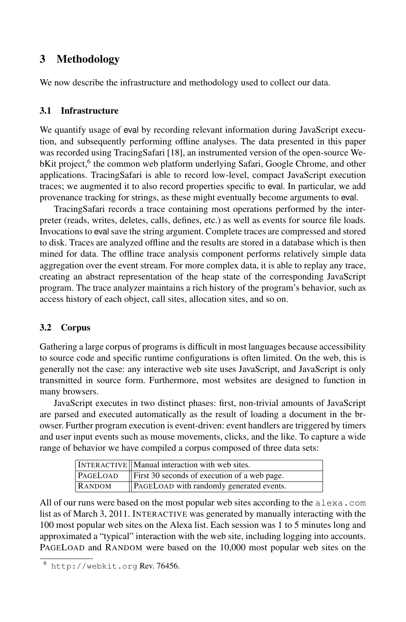## 3 Methodology

We now describe the infrastructure and methodology used to collect our data.

#### 3.1 Infrastructure

We quantify usage of eval by recording relevant information during JavaScript execution, and subsequently performing offline analyses. The data presented in this paper was recorded using TracingSafari [\[18\]](#page-25-2), an instrumented version of the open-source We-bKit project,<sup>[6](#page-4-0)</sup> the common web platform underlying Safari, Google Chrome, and other applications. TracingSafari is able to record low-level, compact JavaScript execution traces; we augmented it to also record properties specific to eval. In particular, we add provenance tracking for strings, as these might eventually become arguments to eval.

TracingSafari records a trace containing most operations performed by the interpreter (reads, writes, deletes, calls, defines, etc.) as well as events for source file loads. Invocations to eval save the string argument. Complete traces are compressed and stored to disk. Traces are analyzed offline and the results are stored in a database which is then mined for data. The offline trace analysis component performs relatively simple data aggregation over the event stream. For more complex data, it is able to replay any trace, creating an abstract representation of the heap state of the corresponding JavaScript program. The trace analyzer maintains a rich history of the program's behavior, such as access history of each object, call sites, allocation sites, and so on.

#### 3.2 Corpus

Gathering a large corpus of programs is difficult in most languages because accessibility to source code and specific runtime configurations is often limited. On the web, this is generally not the case: any interactive web site uses JavaScript, and JavaScript is only transmitted in source form. Furthermore, most websites are designed to function in many browsers.

JavaScript executes in two distinct phases: first, non-trivial amounts of JavaScript are parsed and executed automatically as the result of loading a document in the browser. Further program execution is event-driven: event handlers are triggered by timers and user input events such as mouse movements, clicks, and the like. To capture a wide range of behavior we have compiled a corpus composed of three data sets:

|          | INTERACTIVE   Manual interaction with web sites.            |
|----------|-------------------------------------------------------------|
| PAGELOAD | $\blacksquare$ First 30 seconds of execution of a web page. |
| RANDOM   | <b>PAGELOAD</b> with randomly generated events.             |

All of our runs were based on the most popular web sites according to the <alexa.com> list as of March 3, 2011. INTERACTIVE was generated by manually interacting with the 100 most popular web sites on the Alexa list. Each session was 1 to 5 minutes long and approximated a "typical" interaction with the web site, including logging into accounts. PAGELOAD and RANDOM were based on the 10,000 most popular web sites on the

<span id="page-4-0"></span><http://webkit.org> Rev. 76456.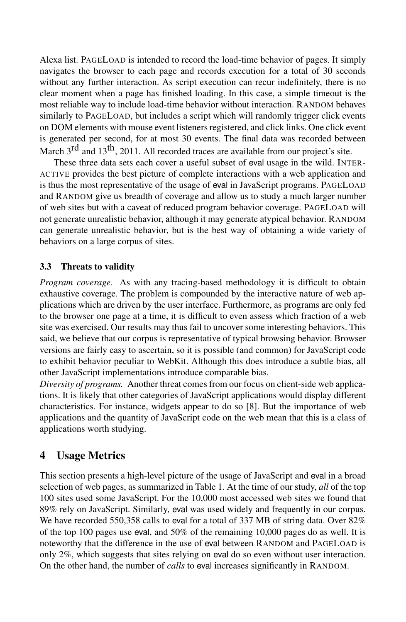Alexa list. PAGELOAD is intended to record the load-time behavior of pages. It simply navigates the browser to each page and records execution for a total of 30 seconds without any further interaction. As script execution can recur indefinitely, there is no clear moment when a page has finished loading. In this case, a simple timeout is the most reliable way to include load-time behavior without interaction. RANDOM behaves similarly to PAGELOAD, but includes a script which will randomly trigger click events on DOM elements with mouse event listeners registered, and click links. One click event is generated per second, for at most 30 events. The final data was recorded between March  $3<sup>rd</sup>$  and  $13<sup>th</sup>$ , 2011. All recorded traces are available from our project's site.

These three data sets each cover a useful subset of eval usage in the wild. INTER-ACTIVE provides the best picture of complete interactions with a web application and is thus the most representative of the usage of eval in JavaScript programs. PAGELOAD and RANDOM give us breadth of coverage and allow us to study a much larger number of web sites but with a caveat of reduced program behavior coverage. PAGELOAD will not generate unrealistic behavior, although it may generate atypical behavior. RANDOM can generate unrealistic behavior, but is the best way of obtaining a wide variety of behaviors on a large corpus of sites.

#### 3.3 Threats to validity

*Program coverage.* As with any tracing-based methodology it is difficult to obtain exhaustive coverage. The problem is compounded by the interactive nature of web applications which are driven by the user interface. Furthermore, as programs are only fed to the browser one page at a time, it is difficult to even assess which fraction of a web site was exercised. Our results may thus fail to uncover some interesting behaviors. This said, we believe that our corpus is representative of typical browsing behavior. Browser versions are fairly easy to ascertain, so it is possible (and common) for JavaScript code to exhibit behavior peculiar to WebKit. Although this does introduce a subtle bias, all other JavaScript implementations introduce comparable bias.

*Diversity of programs.* Another threat comes from our focus on client-side web applications. It is likely that other categories of JavaScript applications would display different characteristics. For instance, widgets appear to do so [\[8\]](#page-24-3). But the importance of web applications and the quantity of JavaScript code on the web mean that this is a class of applications worth studying.

### 4 Usage Metrics

This section presents a high-level picture of the usage of JavaScript and eval in a broad selection of web pages, as summarized in Table [1.](#page-6-0) At the time of our study, *all* of the top 100 sites used some JavaScript. For the 10,000 most accessed web sites we found that 89% rely on JavaScript. Similarly, eval was used widely and frequently in our corpus. We have recorded 550,358 calls to eval for a total of 337 MB of string data. Over 82% of the top 100 pages use eval, and 50% of the remaining 10,000 pages do as well. It is noteworthy that the difference in the use of eval between RANDOM and PAGELOAD is only 2%, which suggests that sites relying on eval do so even without user interaction. On the other hand, the number of *calls* to eval increases significantly in RANDOM.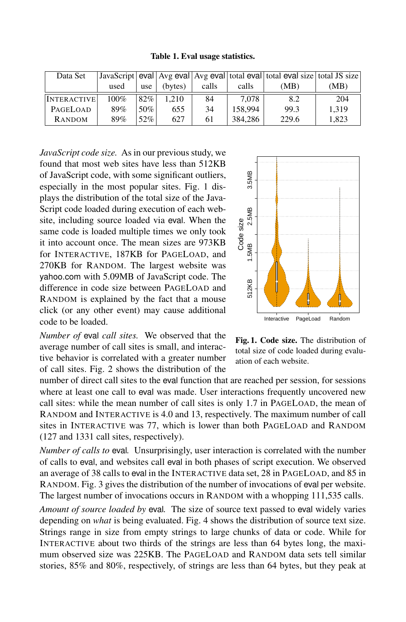<span id="page-6-0"></span>Table 1. Eval usage statistics.

| Data Set           |         |        |         |       |         | JavaScript eval Avg eval Avg eval total eval total eval size total JS size |       |
|--------------------|---------|--------|---------|-------|---------|----------------------------------------------------------------------------|-------|
|                    | used    | use    | (bytes) | calls | calls   | (MB)                                                                       | (MB)  |
| <b>INTERACTIVE</b> | $100\%$ | 82%    | 1.210   | 84    | 7.078   | 8.2                                                                        | 204   |
| PAGELOAD           | 89%     | $50\%$ | 655     | 34    | 158.994 | 99.3                                                                       | 1.319 |
| RANDOM             | 89%     | 52%    | 627     | 61    | 384.286 | 229.6                                                                      | 1.823 |

*JavaScript code size.* As in our previous study, we found that most web sites have less than 512KB of JavaScript code, with some significant outliers, especially in the most popular sites. Fig. [1](#page-6-1) displays the distribution of the total size of the Java-Script code loaded during execution of each website, including source loaded via eval. When the same code is loaded multiple times we only took it into account once. The mean sizes are 973KB for INTERACTIVE, 187KB for PAGELOAD, and 270KB for RANDOM. The largest website was yahoo.com with 5.09MB of JavaScript code. The difference in code size between PAGELOAD and RANDOM is explained by the fact that a mouse click (or any other event) may cause additional code to be loaded.

*Number of* eval *call sites.* We observed that the average number of call sites is small, and interactive behavior is correlated with a greater number of call sites. Fig. [2](#page-7-0) shows the distribution of the



<span id="page-6-1"></span>Fig. 1. Code size. The distribution of total size of code loaded during evaluation of each website.

number of direct call sites to the eval function that are reached per session, for sessions where at least one call to eval was made. User interactions frequently uncovered new call sites: while the mean number of call sites is only 1.7 in PAGELOAD, the mean of RANDOM and INTERACTIVE is 4.0 and 13, respectively. The maximum number of call sites in INTERACTIVE was 77, which is lower than both PAGELOAD and RANDOM (127 and 1331 call sites, respectively).

*Number of calls to* eval*.* Unsurprisingly, user interaction is correlated with the number of calls to eval, and websites call eval in both phases of script execution. We observed an average of 38 calls to eval in the INTERACTIVE data set, 28 in PAGELOAD, and 85 in RANDOM. Fig. [3](#page-7-1) gives the distribution of the number of invocations of eval per website. The largest number of invocations occurs in RANDOM with a whopping 111,535 calls.

*Amount of source loaded by* eval*.* The size of source text passed to eval widely varies depending on *what* is being evaluated. Fig. [4](#page-8-0) shows the distribution of source text size. Strings range in size from empty strings to large chunks of data or code. While for INTERACTIVE about two thirds of the strings are less than 64 bytes long, the maximum observed size was 225KB. The PAGELOAD and RANDOM data sets tell similar stories, 85% and 80%, respectively, of strings are less than 64 bytes, but they peak at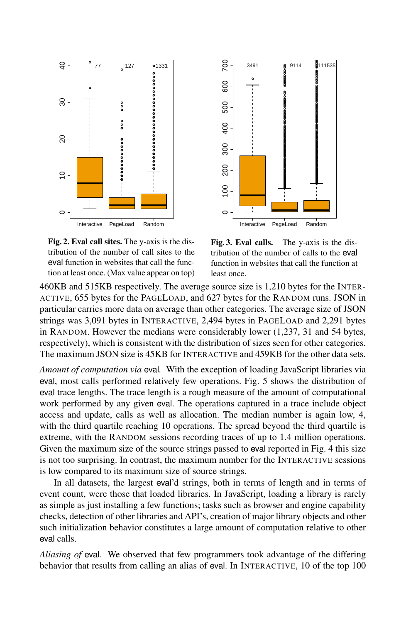



<span id="page-7-0"></span>Fig. 2. Eval call sites. The y-axis is the distribution of the number of call sites to the eval function in websites that call the function at least once. (Max value appear on top)

<span id="page-7-1"></span>Fig. 3. Eval calls. The y-axis is the distribution of the number of calls to the eval function in websites that call the function at least once.

460KB and 515KB respectively. The average source size is 1,210 bytes for the INTER-ACTIVE, 655 bytes for the PAGELOAD, and 627 bytes for the RANDOM runs. JSON in particular carries more data on average than other categories. The average size of JSON strings was 3,091 bytes in INTERACTIVE, 2,494 bytes in PAGELOAD and 2,291 bytes in RANDOM. However the medians were considerably lower (1,237, 31 and 54 bytes, respectively), which is consistent with the distribution of sizes seen for other categories. The maximum JSON size is 45KB for INTERACTIVE and 459KB for the other data sets.

*Amount of computation via* eval*.* With the exception of loading JavaScript libraries via eval, most calls performed relatively few operations. Fig. [5](#page-8-1) shows the distribution of eval trace lengths. The trace length is a rough measure of the amount of computational work performed by any given eval. The operations captured in a trace include object access and update, calls as well as allocation. The median number is again low, 4, with the third quartile reaching 10 operations. The spread beyond the third quartile is extreme, with the RANDOM sessions recording traces of up to 1.4 million operations. Given the maximum size of the source strings passed to eval reported in Fig. [4](#page-8-0) this size is not too surprising. In contrast, the maximum number for the INTERACTIVE sessions is low compared to its maximum size of source strings.

In all datasets, the largest eval'd strings, both in terms of length and in terms of event count, were those that loaded libraries. In JavaScript, loading a library is rarely as simple as just installing a few functions; tasks such as browser and engine capability checks, detection of other libraries and API's, creation of major library objects and other such initialization behavior constitutes a large amount of computation relative to other eval calls.

*Aliasing of* eval*.* We observed that few programmers took advantage of the differing behavior that results from calling an alias of eval. In INTERACTIVE, 10 of the top 100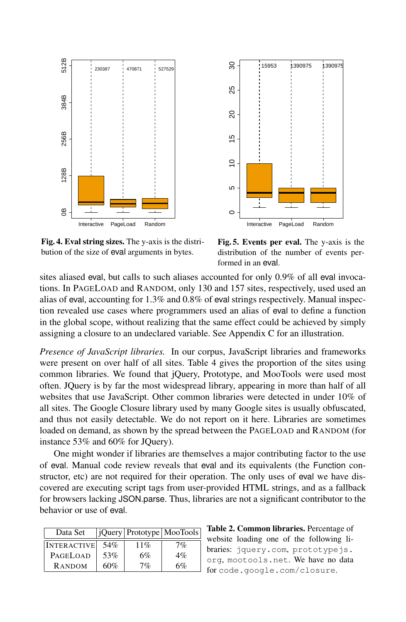



<span id="page-8-0"></span>Fig. 4. Eval string sizes. The y-axis is the distribution of the size of eval arguments in bytes.

<span id="page-8-1"></span>Fig. 5. Events per eval. The y-axis is the distribution of the number of events performed in an eval.

sites aliased eval, but calls to such aliases accounted for only 0.9% of all eval invocations. In PAGELOAD and RANDOM, only 130 and 157 sites, respectively, used used an alias of eval, accounting for 1.3% and 0.8% of eval strings respectively. Manual inspection revealed use cases where programmers used an alias of eval to define a function in the global scope, without realizing that the same effect could be achieved by simply assigning a closure to an undeclared variable. See Appendix [C](#page-26-1) for an illustration.

<span id="page-8-2"></span>*Presence of JavaScript libraries.* In our corpus, JavaScript libraries and frameworks were present on over half of all sites. Table [4](#page-8-2) gives the proportion of the sites using common libraries. We found that jQuery, Prototype, and MooTools were used most often. JQuery is by far the most widespread library, appearing in more than half of all websites that use JavaScript. Other common libraries were detected in under 10% of all sites. The Google Closure library used by many Google sites is usually obfuscated, and thus not easily detectable. We do not report on it here. Libraries are sometimes loaded on demand, as shown by the spread between the PAGELOAD and RANDOM (for instance 53% and 60% for JQuery).

One might wonder if libraries are themselves a major contributing factor to the use of eval. Manual code review reveals that eval and its equivalents (the Function constructor, etc) are not required for their operation. The only uses of eval we have discovered are executing script tags from user-provided HTML strings, and as a fallback for browsers lacking JSON.parse. Thus, libraries are not a significant contributor to the behavior or use of eval.

| Data Set           |     |     | jQuery   Prototype   MooTools |
|--------------------|-----|-----|-------------------------------|
| <b>INTERACTIVE</b> | 54% | 11% | 7%                            |
| PAGELOAD           | 53% | 6%  | 4%                            |
| RANDOM             | 60% | 7%  | 6%                            |

Table 2. Common libraries. Percentage of website loading one of the following libraries: <jquery.com>, [prototypejs.](prototypejs.org) [org](prototypejs.org), <mootools.net>. We have no data for <code.google.com/closure>.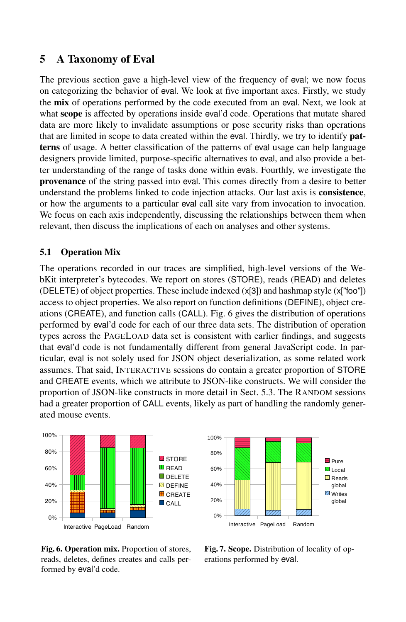#### 5 A Taxonomy of Eval

The previous section gave a high-level view of the frequency of eval; we now focus on categorizing the behavior of eval. We look at five important axes. Firstly, we study the **mix** of operations performed by the code executed from an eval. Next, we look at what **scope** is affected by operations inside eval'd code. Operations that mutate shared data are more likely to invalidate assumptions or pose security risks than operations that are limited in scope to data created within the eval. Thirdly, we try to identify patterns of usage. A better classification of the patterns of eval usage can help language designers provide limited, purpose-specific alternatives to eval, and also provide a better understanding of the range of tasks done within evals. Fourthly, we investigate the provenance of the string passed into eval. This comes directly from a desire to better understand the problems linked to code injection attacks. Our last axis is consistence, or how the arguments to a particular eval call site vary from invocation to invocation. We focus on each axis independently, discussing the relationships between them when relevant, then discuss the implications of each on analyses and other systems.

#### 5.1 Operation Mix

The operations recorded in our traces are simplified, high-level versions of the WebKit interpreter's bytecodes. We report on stores (STORE), reads (READ) and deletes (DELETE) of object properties. These include indexed (x[3]) and hashmap style (x["foo"]) access to object properties. We also report on function definitions (DEFINE), object creations (CREATE), and function calls (CALL). Fig. [6](#page-9-0) gives the distribution of operations performed by eval'd code for each of our three data sets. The distribution of operation types across the PAGELOAD data set is consistent with earlier findings, and suggests that eval'd code is not fundamentally different from general JavaScript code. In particular, eval is not solely used for JSON object deserialization, as some related work assumes. That said, INTERACTIVE sessions do contain a greater proportion of STORE and CREATE events, which we attribute to JSON-like constructs. We will consider the proportion of JSON-like constructs in more detail in Sect. [5.3.](#page-10-0) The RANDOM sessions had a greater proportion of CALL events, likely as part of handling the randomly generated mouse events.





<span id="page-9-0"></span>Fig. 6. Operation mix. Proportion of stores, reads, deletes, defines creates and calls performed by eval'd code.

<span id="page-9-1"></span>Fig. 7. Scope. Distribution of locality of operations performed by eval.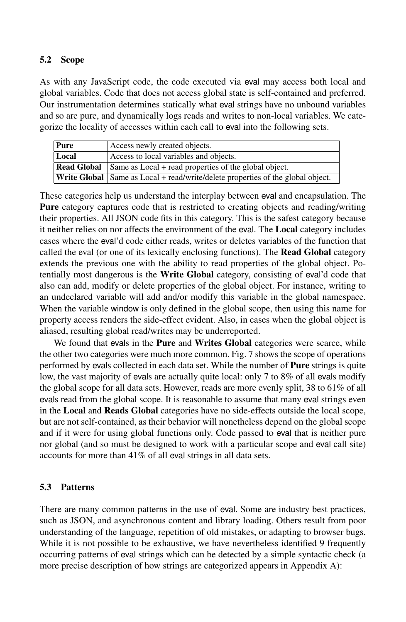#### 5.2 Scope

As with any JavaScript code, the code executed via eval may access both local and global variables. Code that does not access global state is self-contained and preferred. Our instrumentation determines statically what eval strings have no unbound variables and so are pure, and dynamically logs reads and writes to non-local variables. We categorize the locality of accesses within each call to eval into the following sets.

| Pure  | Access newly created objects.                                                          |
|-------|----------------------------------------------------------------------------------------|
| Local | Access to local variables and objects.                                                 |
|       | <b>Read Global</b> Same as Local + read properties of the global object.               |
|       | <b>Write Global</b> Same as Local + read/write/delete properties of the global object. |

These categories help us understand the interplay between eval and encapsulation. The Pure category captures code that is restricted to creating objects and reading/writing their properties. All JSON code fits in this category. This is the safest category because it neither relies on nor affects the environment of the eval. The Local category includes cases where the eval'd code either reads, writes or deletes variables of the function that called the eval (or one of its lexically enclosing functions). The Read Global category extends the previous one with the ability to read properties of the global object. Potentially most dangerous is the Write Global category, consisting of eval'd code that also can add, modify or delete properties of the global object. For instance, writing to an undeclared variable will add and/or modify this variable in the global namespace. When the variable window is only defined in the global scope, then using this name for property access renders the side-effect evident. Also, in cases when the global object is aliased, resulting global read/writes may be underreported.

We found that evals in the **Pure** and **Writes Global** categories were scarce, while the other two categories were much more common. Fig. [7](#page-9-1) shows the scope of operations performed by evals collected in each data set. While the number of **Pure** strings is quite low, the vast majority of evals are actually quite local: only 7 to 8% of all evals modify the global scope for all data sets. However, reads are more evenly split, 38 to  $61\%$  of all evals read from the global scope. It is reasonable to assume that many eval strings even in the Local and Reads Global categories have no side-effects outside the local scope, but are not self-contained, as their behavior will nonetheless depend on the global scope and if it were for using global functions only. Code passed to eval that is neither pure nor global (and so must be designed to work with a particular scope and eval call site) accounts for more than 41% of all eval strings in all data sets.

#### <span id="page-10-0"></span>5.3 Patterns

There are many common patterns in the use of eval. Some are industry best practices, such as JSON, and asynchronous content and library loading. Others result from poor understanding of the language, repetition of old mistakes, or adapting to browser bugs. While it is not possible to be exhaustive, we have nevertheless identified 9 frequently occurring patterns of eval strings which can be detected by a simple syntactic check (a more precise description of how strings are categorized appears in Appendix [A\)](#page-25-3):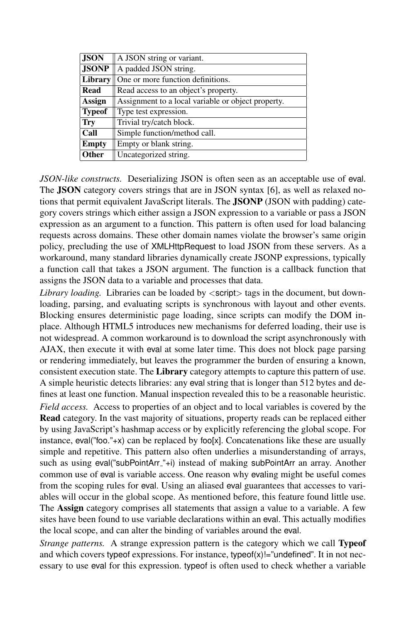| <b>JSON</b>    | A JSON string or variant.                          |
|----------------|----------------------------------------------------|
| <b>JSONP</b>   | A padded JSON string.                              |
| <b>Library</b> | One or more function definitions.                  |
| Read           | Read access to an object's property.               |
| Assign         | Assignment to a local variable or object property. |
| <b>Typeof</b>  | Type test expression.                              |
| <b>Try</b>     | Trivial try/catch block.                           |
| Call           | Simple function/method call.                       |
| <b>Empty</b>   | Empty or blank string.                             |
| <b>Other</b>   | Uncategorized string.                              |

*JSON-like constructs.* Deserializing JSON is often seen as an acceptable use of eval. The JSON category covers strings that are in JSON syntax [\[6\]](#page-24-11), as well as relaxed notions that permit equivalent JavaScript literals. The JSONP (JSON with padding) category covers strings which either assign a JSON expression to a variable or pass a JSON expression as an argument to a function. This pattern is often used for load balancing requests across domains. These other domain names violate the browser's same origin policy, precluding the use of XMLHttpRequest to load JSON from these servers. As a workaround, many standard libraries dynamically create JSONP expressions, typically a function call that takes a JSON argument. The function is a callback function that assigns the JSON data to a variable and processes that data.

*Library loading.* Libraries can be loaded by  $\langle$ script $\rangle$  tags in the document, but downloading, parsing, and evaluating scripts is synchronous with layout and other events. Blocking ensures deterministic page loading, since scripts can modify the DOM inplace. Although HTML5 introduces new mechanisms for deferred loading, their use is not widespread. A common workaround is to download the script asynchronously with AJAX, then execute it with eval at some later time. This does not block page parsing or rendering immediately, but leaves the programmer the burden of ensuring a known, consistent execution state. The Library category attempts to capture this pattern of use. A simple heuristic detects libraries: any eval string that is longer than 512 bytes and defines at least one function. Manual inspection revealed this to be a reasonable heuristic. *Field access.* Access to properties of an object and to local variables is covered by the Read category. In the vast majority of situations, property reads can be replaced either by using JavaScript's hashmap access or by explicitly referencing the global scope. For instance, eval( $i$ foo. $i$ +x) can be replaced by foo[x]. Concatenations like these are usually simple and repetitive. This pattern also often underlies a misunderstanding of arrays, such as using eval("subPointArr<sub>-"+i</sub>) instead of making subPointArr an array. Another common use of eval is variable access. One reason why evaling might be useful comes from the scoping rules for eval. Using an aliased eval guarantees that accesses to variables will occur in the global scope. As mentioned before, this feature found little use. The Assign category comprises all statements that assign a value to a variable. A few sites have been found to use variable declarations within an eval. This actually modifies the local scope, and can alter the binding of variables around the eval.

*Strange patterns.* A strange expression pattern is the category which we call Typeof and which covers typeof expressions. For instance, typeof(x) $|=$ "undefined". It in not necessary to use eval for this expression. typeof is often used to check whether a variable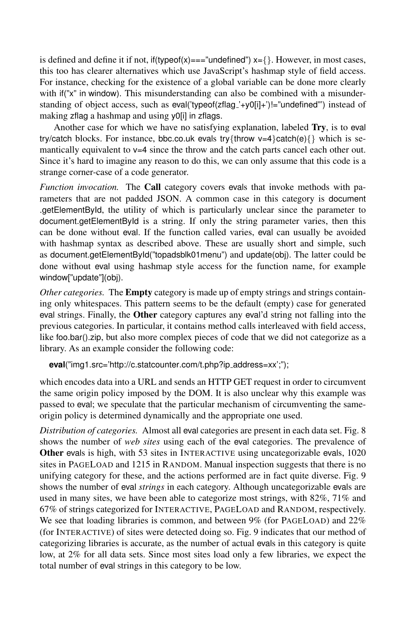is defined and define it if not, if(typeof(x)==="undefined")  $x = \{\}$ . However, in most cases, this too has clearer alternatives which use JavaScript's hashmap style of field access. For instance, checking for the existence of a global variable can be done more clearly with if ("x" in window). This misunderstanding can also be combined with a misunderstanding of object access, such as eval('typeof(zflag '+y0[i]+')!="undefined"') instead of making zflag a hashmap and using y0[i] in zflags.

Another case for which we have no satisfying explanation, labeled Try, is to eval try/catch blocks. For instance, bbc.co.uk evals try{throw v=4}catch(e){} which is semantically equivalent to  $v=4$  since the throw and the catch parts cancel each other out. Since it's hard to imagine any reason to do this, we can only assume that this code is a strange corner-case of a code generator.

*Function invocation.* The Call category covers evals that invoke methods with parameters that are not padded JSON. A common case in this category is document .getElementById, the utility of which is particularly unclear since the parameter to document.getElementById is a string. If only the string parameter varies, then this can be done without eval. If the function called varies, eval can usually be avoided with hashmap syntax as described above. These are usually short and simple, such as document.getElementById("topadsblk01menu") and update(obj). The latter could be done without eval using hashmap style access for the function name, for example window["update"](obj).

*Other categories.* The Empty category is made up of empty strings and strings containing only whitespaces. This pattern seems to be the default (empty) case for generated eval strings. Finally, the Other category captures any eval'd string not falling into the previous categories. In particular, it contains method calls interleaved with field access, like foo.bar().zip, but also more complex pieces of code that we did not categorize as a library. As an example consider the following code:

```
eval("img1.src='http://c.statcounter.com/t.php?ip address=xx';");
```
which encodes data into a URL and sends an HTTP GET request in order to circumvent the same origin policy imposed by the DOM. It is also unclear why this example was passed to eval; we speculate that the particular mechanism of circumventing the sameorigin policy is determined dynamically and the appropriate one used.

*Distribution of categories.* Almost all eval categories are present in each data set. Fig. [8](#page-13-0) shows the number of *web sites* using each of the eval categories. The prevalence of Other evals is high, with 53 sites in INTERACTIVE using uncategorizable evals, 1020 sites in PAGELOAD and 1215 in RANDOM. Manual inspection suggests that there is no unifying category for these, and the actions performed are in fact quite diverse. Fig. [9](#page-13-1) shows the number of eval *strings* in each category. Although uncategorizable evals are used in many sites, we have been able to categorize most strings, with 82%, 71% and 67% of strings categorized for INTERACTIVE, PAGELOAD and RANDOM, respectively. We see that loading libraries is common, and between 9% (for PAGELOAD) and 22% (for INTERACTIVE) of sites were detected doing so. Fig. [9](#page-13-1) indicates that our method of categorizing libraries is accurate, as the number of actual evals in this category is quite low, at 2% for all data sets. Since most sites load only a few libraries, we expect the total number of eval strings in this category to be low.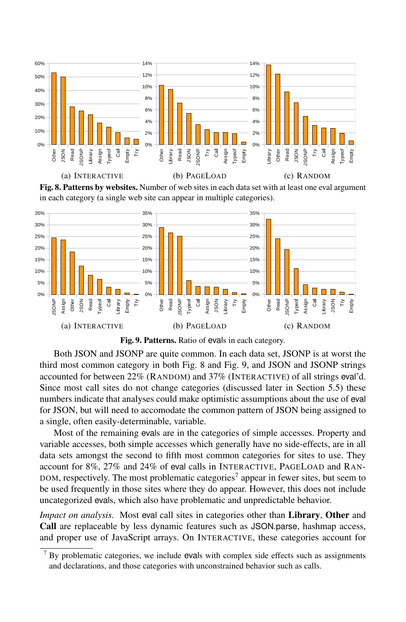

<span id="page-13-0"></span>Fig. 8. Patterns by websites. Number of web sites in each data set with at least one eval argument in each category (a single web site can appear in multiple categories).



<span id="page-13-1"></span>Fig. 9. Patterns. Ratio of evals in each category.

Both JSON and JSONP are quite common. In each data set, JSONP is at worst the third most common category in both Fig. [8](#page-13-0) and Fig. [9,](#page-13-1) and JSON and JSONP strings accounted for between 22% (RANDOM) and 37% (INTERACTIVE) of all strings eval'd. Since most call sites do not change categories (discussed later in Section [5.5\)](#page-17-1) these numbers indicate that analyses could make optimistic assumptions about the use of eval for JSON, but will need to accomodate the common pattern of JSON being assigned to a single, often easily-determinable, variable.

Most of the remaining evals are in the categories of simple accesses. Property and variable accesses, both simple accesses which generally have no side-effects, are in all data sets amongst the second to fifth most common categories for sites to use. They account for 8%, 27% and 24% of eval calls in INTERACTIVE, PAGELOAD and RAN-DOM, respectively. The most problematic categories<sup>[7](#page-13-2)</sup> appear in fewer sites, but seem to be used frequently in those sites where they do appear. However, this does not include uncategorized evals, which also have problematic and unpredictable behavior.

*Impact on analysis.* Most eval call sites in categories other than **Library**, **Other** and Call are replaceable by less dynamic features such as JSON.parse, hashmap access, and proper use of JavaScript arrays. On INTERACTIVE, these categories account for

<span id="page-13-2"></span> $7$  By problematic categories, we include evals with complex side effects such as assignments and declarations, and those categories with unconstrained behavior such as calls.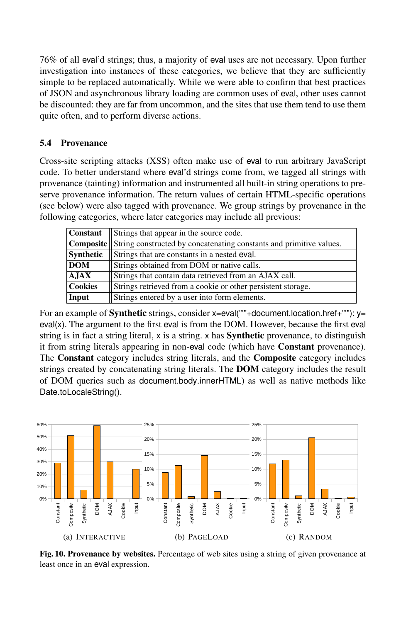76% of all eval'd strings; thus, a majority of eval uses are not necessary. Upon further investigation into instances of these categories, we believe that they are sufficiently simple to be replaced automatically. While we were able to confirm that best practices of JSON and asynchronous library loading are common uses of eval, other uses cannot be discounted: they are far from uncommon, and the sites that use them tend to use them quite often, and to perform diverse actions.

#### 5.4 Provenance

Cross-site scripting attacks (XSS) often make use of eval to run arbitrary JavaScript code. To better understand where eval'd strings come from, we tagged all strings with provenance (tainting) information and instrumented all built-in string operations to preserve provenance information. The return values of certain HTML-specific operations (see below) were also tagged with provenance. We group strings by provenance in the following categories, where later categories may include all previous:

| Constant       | Strings that appear in the source code.                                              |
|----------------|--------------------------------------------------------------------------------------|
|                | <b>Composite</b> String constructed by concatenating constants and primitive values. |
| Synthetic      | Strings that are constants in a nested eval.                                         |
| <b>DOM</b>     | Strings obtained from DOM or native calls.                                           |
| A, JAX         | Strings that contain data retrieved from an AJAX call.                               |
| <b>Cookies</b> | Strings retrieved from a cookie or other persistent storage.                         |
| Input          | Strings entered by a user into form elements.                                        |

For an example of **Synthetic** strings, consider x=eval(""+document.location.href+""); y= eval(x). The argument to the first eval is from the DOM. However, because the first eval string is in fact a string literal, x is a string. x has **Synthetic** provenance, to distinguish it from string literals appearing in non-eval code (which have Constant provenance). The Constant category includes string literals, and the Composite category includes strings created by concatenating string literals. The DOM category includes the result of DOM queries such as document.body.innerHTML) as well as native methods like Date.toLocaleString().



<span id="page-14-0"></span>Fig. 10. Provenance by websites. Percentage of web sites using a string of given provenance at least once in an eval expression.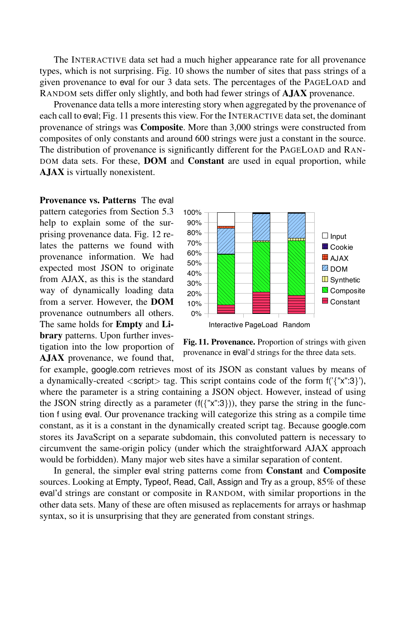The INTERACTIVE data set had a much higher appearance rate for all provenance types, which is not surprising. Fig. [10](#page-14-0) shows the number of sites that pass strings of a given provenance to eval for our 3 data sets. The percentages of the PAGELOAD and RANDOM sets differ only slightly, and both had fewer strings of AJAX provenance.

Provenance data tells a more interesting story when aggregated by the provenance of each call to eval; Fig. [11](#page-15-0) presents this view. For the INTERACTIVE data set, the dominant provenance of strings was Composite. More than 3,000 strings were constructed from composites of only constants and around 600 strings were just a constant in the source. The distribution of provenance is significantly different for the PAGELOAD and RAN-DOM data sets. For these, **DOM** and **Constant** are used in equal proportion, while AJAX is virtually nonexistent.

Provenance vs. Patterns The eval

pattern categories from Section [5.3](#page-10-0) help to explain some of the surprising provenance data. Fig. [12](#page-16-0) relates the patterns we found with provenance information. We had expected most JSON to originate from AJAX, as this is the standard way of dynamically loading data from a server. However, the DOM provenance outnumbers all others. The same holds for Empty and Library patterns. Upon further investigation into the low proportion of AJAX provenance, we found that,



<span id="page-15-0"></span>Fig. 11. Provenance. Proportion of strings with given provenance in eval'd strings for the three data sets.

for example, google.com retrieves most of its JSON as constant values by means of a dynamically-created  $\langle$ script $\rangle$  tag. This script contains code of the form  $f('x'':3')$ , where the parameter is a string containing a JSON object. However, instead of using the JSON string directly as a parameter  $(f({\mathfrak{Z}}^{\prime\prime},3))$ , they parse the string in the function f using eval. Our provenance tracking will categorize this string as a compile time constant, as it is a constant in the dynamically created script tag. Because google.com stores its JavaScript on a separate subdomain, this convoluted pattern is necessary to circumvent the same-origin policy (under which the straightforward AJAX approach would be forbidden). Many major web sites have a similar separation of content.

In general, the simpler eval string patterns come from Constant and Composite sources. Looking at Empty, Typeof, Read, Call, Assign and Try as a group, 85% of these eval'd strings are constant or composite in RANDOM, with similar proportions in the other data sets. Many of these are often misused as replacements for arrays or hashmap syntax, so it is unsurprising that they are generated from constant strings.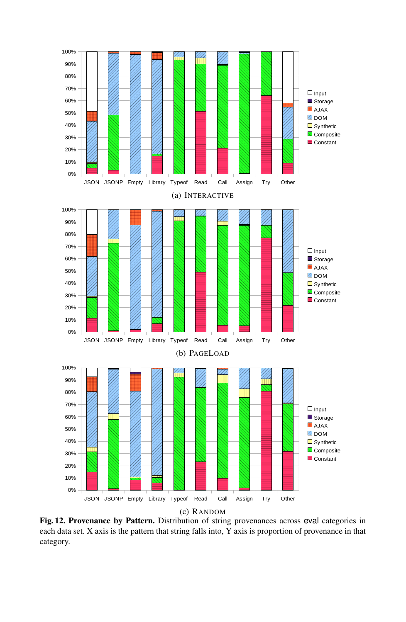

<span id="page-16-0"></span>Fig. 12. Provenance by Pattern. Distribution of string provenances across eval categories in each data set. X axis is the pattern that string falls into, Y axis is proportion of provenance in that category.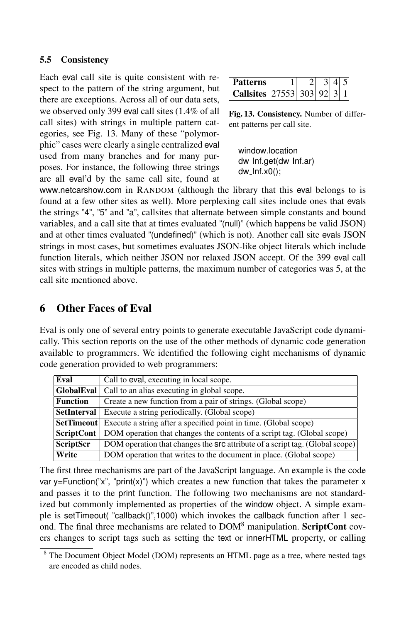#### <span id="page-17-1"></span>5.5 Consistency

Each eval call site is quite consistent with respect to the pattern of the string argument, but there are exceptions. Across all of our data sets, we observed only 399 eval call sites (1.4% of all call sites) with strings in multiple pattern categories, see Fig. [13.](#page-17-2) Many of these "polymorphic" cases were clearly a single centralized eval used from many branches and for many purposes. For instance, the following three strings are all eval'd by the same call site, found at

| Patterns                          |  |  | 3 4 5 |
|-----------------------------------|--|--|-------|
| <b>Callsites</b> 27553 303 92 3 1 |  |  |       |

<span id="page-17-2"></span>Fig. 13. Consistency. Number of different patterns per call site.

window.location dw Inf.get(dw Inf.ar) dw Inf.x0();

www.netcarshow.com in RANDOM (although the library that this eval belongs to is found at a few other sites as well). More perplexing call sites include ones that evals the strings "4", "5" and "a", callsites that alternate between simple constants and bound variables, and a call site that at times evaluated "(null)" (which happens be valid JSON) and at other times evaluated "(undefined)" (which is not). Another call site evals JSON strings in most cases, but sometimes evaluates JSON-like object literals which include function literals, which neither JSON nor relaxed JSON accept. Of the 399 eval call sites with strings in multiple patterns, the maximum number of categories was 5, at the call site mentioned above.

## <span id="page-17-0"></span>6 Other Faces of Eval

Eval is only one of several entry points to generate executable JavaScript code dynamically. This section reports on the use of the other methods of dynamic code generation available to programmers. We identified the following eight mechanisms of dynamic code generation provided to web programmers:

| Eval              | Call to eval, executing in local scope.                                            |
|-------------------|------------------------------------------------------------------------------------|
|                   | <b>GlobalEval</b> Call to an alias executing in global scope.                      |
| <b>Function</b>   | Create a new function from a pair of strings. (Global scope)                       |
|                   | <b>SetInterval</b> Execute a string periodically. (Global scope)                   |
|                   | <b>SetTimeout</b> Execute a string after a specified point in time. (Global scope) |
| <b>ScriptCont</b> | DOM operation that changes the contents of a script tag. (Global scope)            |
| <b>ScriptScr</b>  | DOM operation that changes the src attribute of a script tag. (Global scope)       |
| Write             | DOM operation that writes to the document in place. (Global scope)                 |

The first three mechanisms are part of the JavaScript language. An example is the code var y=Function("x", "print(x)") which creates a new function that takes the parameter x and passes it to the print function. The following two mechanisms are not standardized but commonly implemented as properties of the window object. A simple example is setTimeout( "callback()",1000) which invokes the callback function after 1 second. The final three mechanisms are related to  $DOM^8$  $DOM^8$  manipulation. **ScriptCont** covers changes to script tags such as setting the text or innerHTML property, or calling

<span id="page-17-3"></span><sup>8</sup> The Document Object Model (DOM) represents an HTML page as a tree, where nested tags are encoded as child nodes.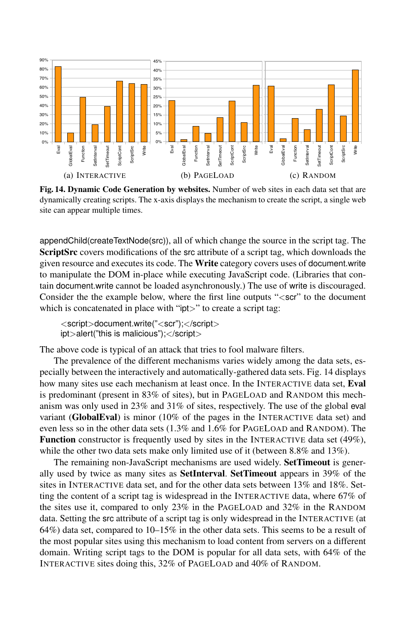

<span id="page-18-0"></span>Fig. 14. Dynamic Code Generation by websites. Number of web sites in each data set that are dynamically creating scripts. The x-axis displays the mechanism to create the script, a single web site can appear multiple times.

appendChild(createTextNode(src)), all of which change the source in the script tag. The ScriptSrc covers modifications of the src attribute of a script tag, which downloads the given resource and executes its code. The Write category covers uses of document.write to manipulate the DOM in-place while executing JavaScript code. (Libraries that contain document.write cannot be loaded asynchronously.) The use of write is discouraged. Consider the the example below, where the first line outputs " $\lt$ scr" to the document which is concatenated in place with "ipt>" to create a script tag:

<script>document.write("<scr");</script> ipt>alert("this is malicious");</script>

The above code is typical of an attack that tries to fool malware filters.

The prevalence of the different mechanisms varies widely among the data sets, especially between the interactively and automatically-gathered data sets. Fig. [14](#page-18-0) displays how many sites use each mechanism at least once. In the INTERACTIVE data set, Eval is predominant (present in 83% of sites), but in PAGELOAD and RANDOM this mechanism was only used in 23% and 31% of sites, respectively. The use of the global eval variant (GlobalEval) is minor  $(10\%$  of the pages in the INTERACTIVE data set) and even less so in the other data sets (1.3% and 1.6% for PAGELOAD and RANDOM). The Function constructor is frequently used by sites in the INTERACTIVE data set (49%), while the other two data sets make only limited use of it (between 8.8% and 13%).

The remaining non-JavaScript mechanisms are used widely. SetTimeout is generally used by twice as many sites as SetInterval. SetTimeout appears in 39% of the sites in INTERACTIVE data set, and for the other data sets between 13% and 18%. Setting the content of a script tag is widespread in the INTERACTIVE data, where 67% of the sites use it, compared to only 23% in the PAGELOAD and 32% in the RANDOM data. Setting the src attribute of a script tag is only widespread in the INTERACTIVE (at 64%) data set, compared to 10–15% in the other data sets. This seems to be a result of the most popular sites using this mechanism to load content from servers on a different domain. Writing script tags to the DOM is popular for all data sets, with 64% of the INTERACTIVE sites doing this, 32% of PAGELOAD and 40% of RANDOM.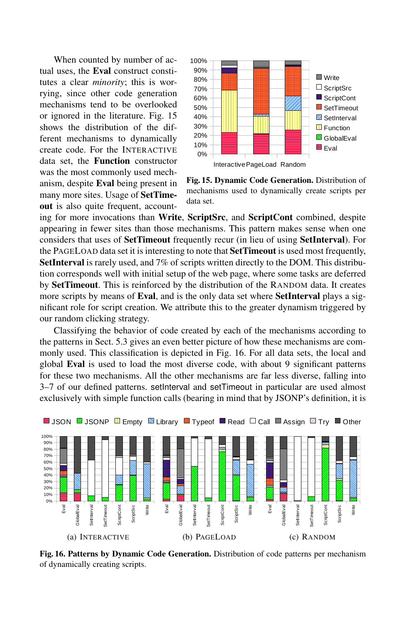When counted by number of actual uses, the Eval construct constitutes a clear *minority*; this is worrying, since other code generation mechanisms tend to be overlooked or ignored in the literature. Fig. [15](#page-19-0) shows the distribution of the different mechanisms to dynamically create code. For the INTERACTIVE data set, the Function constructor was the most commonly used mechanism, despite Eval being present in many more sites. Usage of SetTimeout is also quite frequent, account-



<span id="page-19-0"></span>Fig. 15. Dynamic Code Generation. Distribution of mechanisms used to dynamically create scripts per data set.

ing for more invocations than Write, ScriptSrc, and ScriptCont combined, despite appearing in fewer sites than those mechanisms. This pattern makes sense when one considers that uses of SetTimeout frequently recur (in lieu of using SetInterval). For the PAGELOAD data set it is interesting to note that SetTimeout is used most frequently, SetInterval is rarely used, and 7% of scripts written directly to the DOM. This distribution corresponds well with initial setup of the web page, where some tasks are deferred by SetTimeout. This is reinforced by the distribution of the RANDOM data. It creates more scripts by means of **Eval**, and is the only data set where **SetInterval** plays a significant role for script creation. We attribute this to the greater dynamism triggered by our random clicking strategy.

Classifying the behavior of code created by each of the mechanisms according to the patterns in Sect. [5.3](#page-10-0) gives an even better picture of how these mechanisms are commonly used. This classification is depicted in Fig. [16.](#page-19-1) For all data sets, the local and global Eval is used to load the most diverse code, with about 9 significant patterns for these two mechanisms. All the other mechanisms are far less diverse, falling into 3–7 of our defined patterns. setInterval and setTimeout in particular are used almost exclusively with simple function calls (bearing in mind that by JSONP's definition, it is



 $\Box$  **JSON**  $\Box$  Library  $\Box$  Library  $\Box$  Typeof  $\Box$  Read  $\Box$  Call  $\Box$  Assign  $\boxtimes$  Try  $\Box$  Other

<span id="page-19-1"></span>Fig. 16. Patterns by Dynamic Code Generation. Distribution of code patterns per mechanism of dynamically creating scripts.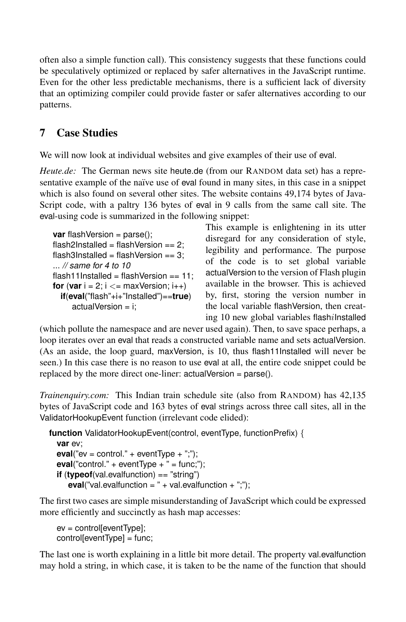often also a simple function call). This consistency suggests that these functions could be speculatively optimized or replaced by safer alternatives in the JavaScript runtime. Even for the other less predictable mechanisms, there is a sufficient lack of diversity that an optimizing compiler could provide faster or safer alternatives according to our patterns.

## 7 Case Studies

We will now look at individual websites and give examples of their use of eval.

*Heute.de:* The German news site heute.de (from our RANDOM data set) has a representative example of the naïve use of eval found in many sites, in this case in a snippet which is also found on several other sites. The website contains 49,174 bytes of Java-Script code, with a paltry 136 bytes of eval in 9 calls from the same call site. The eval-using code is summarized in the following snippet:

```
var flashVersion = parse();
flash2Installed = flashVersion == 2:
flash3Installed = flashVersion == 3;
... // same for 4 to 10
flash11Installed = flashVersion == 11:
for (var i = 2; i \le m maxVersion; i_{++})
  if(eval("flash"+i+"Installed")==true)
     actualVersion = i:
```
This example is enlightening in its utter disregard for any consideration of style, legibility and performance. The purpose of the code is to set global variable actualVersion to the version of Flash plugin available in the browser. This is achieved by, first, storing the version number in the local variable flashVersion, then creating  $10$  new global variables flashilnstalled

(which pollute the namespace and are never used again). Then, to save space perhaps, a loop iterates over an eval that reads a constructed variable name and sets actualVersion. (As an aside, the loop guard, maxVersion, is 10, thus flash11Installed will never be seen.) In this case there is no reason to use eval at all, the entire code snippet could be replaced by the more direct one-liner: actualVersion = parse().

*Trainenquiry.com:* This Indian train schedule site (also from RANDOM) has 42,135 bytes of JavaScript code and 163 bytes of eval strings across three call sites, all in the ValidatorHookupEvent function (irrelevant code elided):

```
function ValidatorHookupEvent(control, eventType, functionPrefix) {
  var ev;
  eval("ev = control." + eventType + ";");eval("control." + eventType + " = func;");
  if (typeof(val.evalfunction) == "string")
     eval("val.evalfunction = " + val.evalfunction + ";");
```
The first two cases are simple misunderstanding of JavaScript which could be expressed more efficiently and succinctly as hash map accesses:

```
ev = control[eventType];
control[eventType] = func;
```
The last one is worth explaining in a little bit more detail. The property val.evalfunction may hold a string, in which case, it is taken to be the name of the function that should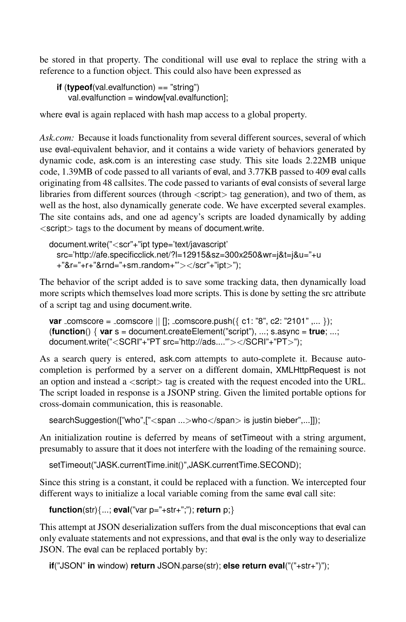be stored in that property. The conditional will use eval to replace the string with a reference to a function object. This could also have been expressed as

```
if (typeof(val.evalfunction) == "string")
   val.evalfunction = window[val.evalfunction];
```
where eval is again replaced with hash map access to a global property.

*Ask.com:* Because it loads functionality from several different sources, several of which use eval-equivalent behavior, and it contains a wide variety of behaviors generated by dynamic code, ask.com is an interesting case study. This site loads 2.22MB unique code, 1.39MB of code passed to all variants of eval, and 3.77KB passed to 409 eval calls originating from 48 callsites. The code passed to variants of eval consists of several large libraries from different sources (through  $\langle$  script $\rangle$  tag generation), and two of them, as well as the host, also dynamically generate code. We have excerpted several examples. The site contains ads, and one ad agency's scripts are loaded dynamically by adding  $\langle$ script $\rangle$  tags to the document by means of document.write.

```
document.write("<scr"+"ipt type='text/javascript'
  src='http://afe.specificclick.net/?l=12915&sz=300x250&wr=j&t=j&u="+u
  +"&r="+r+"&rnd="+sm_random+"'></scr"+"ipt>");
```
The behavior of the script added is to save some tracking data, then dynamically load more scripts which themselves load more scripts. This is done by setting the src attribute of a script tag and using document.write.

```
var comscore = comscore || ||; comscore.push(\{ c1: "8", c2: "2101" ,... \});
(function() { var s = document.createElement("script"), ...; s.async = true; ...;
document.write("<SCRI"+"PT src='http://ads...."'></SCRI"+"PT>");
```
As a search query is entered, ask.com attempts to auto-complete it. Because autocompletion is performed by a server on a different domain, XMLHttpRequest is not an option and instead a  $\langle$  script $\rangle$  tag is created with the request encoded into the URL. The script loaded in response is a JSONP string. Given the limited portable options for cross-domain communication, this is reasonable.

```
searchSuggestion(["who",["<span ...>who</span> is justin bieber",...]]);
```
An initialization routine is deferred by means of setTimeout with a string argument, presumably to assure that it does not interfere with the loading of the remaining source.

```
setTimeout("JASK.currentTime.init()",JASK.currentTime.SECOND);
```
Since this string is a constant, it could be replaced with a function. We intercepted four different ways to initialize a local variable coming from the same eval call site:

```
function(str){...; eval("var p="+str+";"); return p;}
```
This attempt at JSON deserialization suffers from the dual misconceptions that eval can only evaluate statements and not expressions, and that eval is the only way to deserialize JSON. The eval can be replaced portably by:

```
if("JSON" in window) return JSON.parse(str); else return eval("("+str+")");
```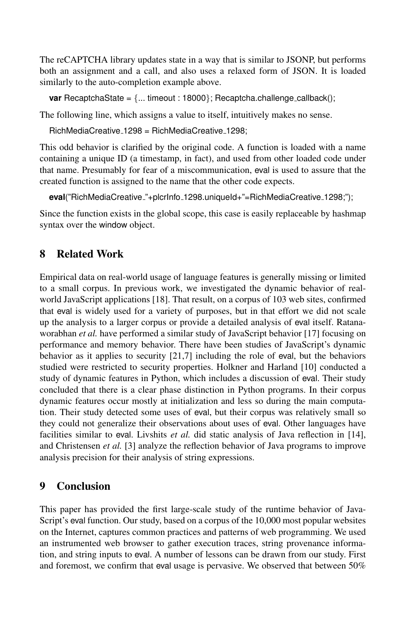The reCAPTCHA library updates state in a way that is similar to JSONP, but performs both an assignment and a call, and also uses a relaxed form of JSON. It is loaded similarly to the auto-completion example above.

**var** RecaptchaState = {... timeout : 18000}; Recaptcha.challenge\_callback();

The following line, which assigns a value to itself, intuitively makes no sense.

RichMediaCreative 1298 = RichMediaCreative 1298;

This odd behavior is clarified by the original code. A function is loaded with a name containing a unique ID (a timestamp, in fact), and used from other loaded code under that name. Presumably for fear of a miscommunication, eval is used to assure that the created function is assigned to the name that the other code expects.

```
eval("RichMediaCreative_"+plcrInfo_1298.uniqueId+"=RichMediaCreative_1298;");
```
Since the function exists in the global scope, this case is easily replaceable by hashmap syntax over the window object.

## 8 Related Work

Empirical data on real-world usage of language features is generally missing or limited to a small corpus. In previous work, we investigated the dynamic behavior of realworld JavaScript applications [\[18\]](#page-25-2). That result, on a corpus of 103 web sites, confirmed that eval is widely used for a variety of purposes, but in that effort we did not scale up the analysis to a larger corpus or provide a detailed analysis of eval itself. Ratanaworabhan *et al.* have performed a similar study of JavaScript behavior [\[17\]](#page-24-13) focusing on performance and memory behavior. There have been studies of JavaScript's dynamic behavior as it applies to security [\[21,](#page-25-4)[7\]](#page-24-6) including the role of eval, but the behaviors studied were restricted to security properties. Holkner and Harland [\[10\]](#page-24-14) conducted a study of dynamic features in Python, which includes a discussion of eval. Their study concluded that there is a clear phase distinction in Python programs. In their corpus dynamic features occur mostly at initialization and less so during the main computation. Their study detected some uses of eval, but their corpus was relatively small so they could not generalize their observations about uses of eval. Other languages have facilities similar to eval. Livshits *et al.* did static analysis of Java reflection in [\[14\]](#page-24-15), and Christensen *et al.* [\[3\]](#page-24-16) analyze the reflection behavior of Java programs to improve analysis precision for their analysis of string expressions.

### 9 Conclusion

This paper has provided the first large-scale study of the runtime behavior of Java-Script's eval function. Our study, based on a corpus of the 10,000 most popular websites on the Internet, captures common practices and patterns of web programming. We used an instrumented web browser to gather execution traces, string provenance information, and string inputs to eval. A number of lessons can be drawn from our study. First and foremost, we confirm that eval usage is pervasive. We observed that between 50%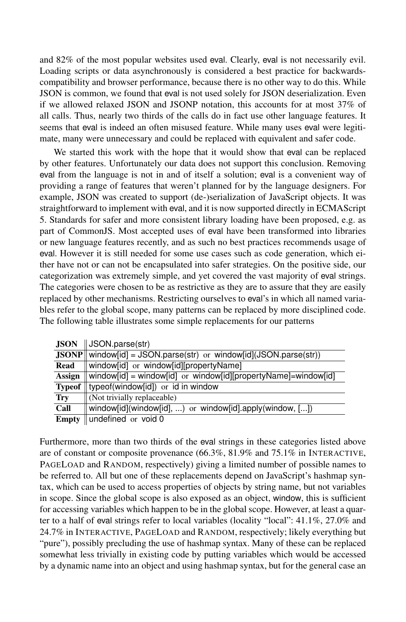and 82% of the most popular websites used eval. Clearly, eval is not necessarily evil. Loading scripts or data asynchronously is considered a best practice for backwardscompatibility and browser performance, because there is no other way to do this. While JSON is common, we found that eval is not used solely for JSON deserialization. Even if we allowed relaxed JSON and JSONP notation, this accounts for at most 37% of all calls. Thus, nearly two thirds of the calls do in fact use other language features. It seems that eval is indeed an often misused feature. While many uses eval were legitimate, many were unnecessary and could be replaced with equivalent and safer code.

We started this work with the hope that it would show that eval can be replaced by other features. Unfortunately our data does not support this conclusion. Removing eval from the language is not in and of itself a solution; eval is a convenient way of providing a range of features that weren't planned for by the language designers. For example, JSON was created to support (de-)serialization of JavaScript objects. It was straightforward to implement with eval, and it is now supported directly in ECMAScript 5. Standards for safer and more consistent library loading have been proposed, e.g. as part of CommonJS. Most accepted uses of eval have been transformed into libraries or new language features recently, and as such no best practices recommends usage of eval. However it is still needed for some use cases such as code generation, which either have not or can not be encapsulated into safer strategies. On the positive side, our categorization was extremely simple, and yet covered the vast majority of eval strings. The categories were chosen to be as restrictive as they are to assure that they are easily replaced by other mechanisms. Restricting ourselves to eval's in which all named variables refer to the global scope, many patterns can be replaced by more disciplined code. The following table illustrates some simple replacements for our patterns

|               | $J5UN$   JOUN.parsets!!!                                            |
|---------------|---------------------------------------------------------------------|
|               | $JSONP$ window[id] = JSON.parse(str) or window[id](JSON.parse(str)) |
| Read          | window[id] or window[id][propertyName]                              |
| Assign        | window[id] = window[id] or window[id][propertyName]=window[id]      |
| <b>Typeof</b> | typeof(window[id]) or id in window                                  |
|               | $\ $ (Not trivially replaceable)                                    |
| Call          | window[id](window[id], ) or window[id].apply(window, [])            |
| Empty         | undefined or void 0                                                 |
| Try           |                                                                     |

 $JSON$   $||$   $|SON|$  parse(str).

Furthermore, more than two thirds of the eval strings in these categories listed above are of constant or composite provenance (66.3%, 81.9% and 75.1% in INTERACTIVE, PAGELOAD and RANDOM, respectively) giving a limited number of possible names to be referred to. All but one of these replacements depend on JavaScript's hashmap syntax, which can be used to access properties of objects by string name, but not variables in scope. Since the global scope is also exposed as an object, window, this is sufficient for accessing variables which happen to be in the global scope. However, at least a quarter to a half of eval strings refer to local variables (locality "local": 41.1%, 27.0% and 24.7% in INTERACTIVE, PAGELOAD and RANDOM, respectively; likely everything but "pure"), possibly precluding the use of hashmap syntax. Many of these can be replaced somewhat less trivially in existing code by putting variables which would be accessed by a dynamic name into an object and using hashmap syntax, but for the general case an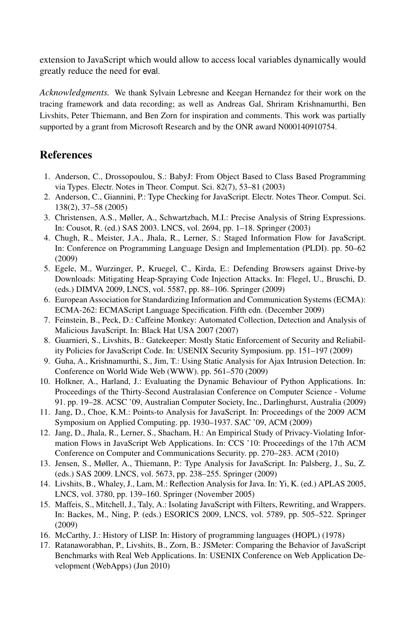extension to JavaScript which would allow to access local variables dynamically would greatly reduce the need for eval.

*Acknowledgments.* We thank Sylvain Lebresne and Keegan Hernandez for their work on the tracing framework and data recording; as well as Andreas Gal, Shriram Krishnamurthi, Ben Livshits, Peter Thiemann, and Ben Zorn for inspiration and comments. This work was partially supported by a grant from Microsoft Research and by the ONR award N000140910754.

## References

- <span id="page-24-2"></span>1. Anderson, C., Drossopoulou, S.: BabyJ: From Object Based to Class Based Programming via Types. Electr. Notes in Theor. Comput. Sci. 82(7), 53–81 (2003)
- <span id="page-24-0"></span>2. Anderson, C., Giannini, P.: Type Checking for JavaScript. Electr. Notes Theor. Comput. Sci. 138(2), 37–58 (2005)
- <span id="page-24-16"></span>3. Christensen, A.S., Møller, A., Schwartzbach, M.I.: Precise Analysis of String Expressions. In: Cousot, R. (ed.) SAS 2003. LNCS, vol. 2694, pp. 1–18. Springer (2003)
- <span id="page-24-10"></span>4. Chugh, R., Meister, J.A., Jhala, R., Lerner, S.: Staged Information Flow for JavaScript. In: Conference on Programming Language Design and Implementation (PLDI). pp. 50–62 (2009)
- <span id="page-24-8"></span>5. Egele, M., Wurzinger, P., Kruegel, C., Kirda, E.: Defending Browsers against Drive-by Downloads: Mitigating Heap-Spraying Code Injection Attacks. In: Flegel, U., Bruschi, D. (eds.) DIMVA 2009, LNCS, vol. 5587, pp. 88–106. Springer (2009)
- <span id="page-24-11"></span>6. European Association for Standardizing Information and Communication Systems (ECMA): ECMA-262: ECMAScript Language Specification. Fifth edn. (December 2009)
- <span id="page-24-6"></span>7. Feinstein, B., Peck, D.: Caffeine Monkey: Automated Collection, Detection and Analysis of Malicious JavaScript. In: Black Hat USA 2007 (2007)
- <span id="page-24-3"></span>8. Guarnieri, S., Livshits, B.: Gatekeeper: Mostly Static Enforcement of Security and Reliability Policies for JavaScript Code. In: USENIX Security Symposium. pp. 151–197 (2009)
- <span id="page-24-4"></span>9. Guha, A., Krishnamurthi, S., Jim, T.: Using Static Analysis for Ajax Intrusion Detection. In: Conference on World Wide Web (WWW). pp. 561–570 (2009)
- <span id="page-24-14"></span>10. Holkner, A., Harland, J.: Evaluating the Dynamic Behaviour of Python Applications. In: Proceedings of the Thirty-Second Australasian Conference on Computer Science - Volume 91. pp. 19–28. ACSC '09, Australian Computer Society, Inc., Darlinghurst, Australia (2009)
- <span id="page-24-1"></span>11. Jang, D., Choe, K.M.: Points-to Analysis for JavaScript. In: Proceedings of the 2009 ACM Symposium on Applied Computing. pp. 1930–1937. SAC '09, ACM (2009)
- <span id="page-24-9"></span>12. Jang, D., Jhala, R., Lerner, S., Shacham, H.: An Empirical Study of Privacy-Violating Information Flows in JavaScript Web Applications. In: CCS '10: Proceedings of the 17th ACM Conference on Computer and Communications Security. pp. 270–283. ACM (2010)
- <span id="page-24-5"></span>13. Jensen, S., Møller, A., Thiemann, P.: Type Analysis for JavaScript. In: Palsberg, J., Su, Z. (eds.) SAS 2009. LNCS, vol. 5673, pp. 238–255. Springer (2009)
- <span id="page-24-15"></span>14. Livshits, B., Whaley, J., Lam, M.: Reflection Analysis for Java. In: Yi, K. (ed.) APLAS 2005, LNCS, vol. 3780, pp. 139–160. Springer (November 2005)
- <span id="page-24-7"></span>15. Maffeis, S., Mitchell, J., Taly, A.: Isolating JavaScript with Filters, Rewriting, and Wrappers. In: Backes, M., Ning, P. (eds.) ESORICS 2009, LNCS, vol. 5789, pp. 505–522. Springer (2009)
- <span id="page-24-12"></span>16. McCarthy, J.: History of LISP. In: History of programming languages (HOPL) (1978)
- <span id="page-24-13"></span>17. Ratanaworabhan, P., Livshits, B., Zorn, B.: JSMeter: Comparing the Behavior of JavaScript Benchmarks with Real Web Applications. In: USENIX Conference on Web Application Development (WebApps) (Jun 2010)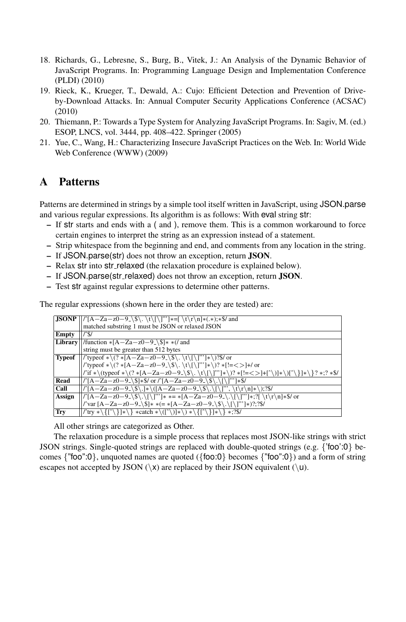- <span id="page-25-2"></span>18. Richards, G., Lebresne, S., Burg, B., Vitek, J.: An Analysis of the Dynamic Behavior of JavaScript Programs. In: Programming Language Design and Implementation Conference (PLDI) (2010)
- <span id="page-25-1"></span>19. Rieck, K., Krueger, T., Dewald, A.: Cujo: Efficient Detection and Prevention of Driveby-Download Attacks. In: Annual Computer Security Applications Conference (ACSAC) (2010)
- <span id="page-25-0"></span>20. Thiemann, P.: Towards a Type System for Analyzing JavaScript Programs. In: Sagiv, M. (ed.) ESOP, LNCS, vol. 3444, pp. 408–422. Springer (2005)
- <span id="page-25-4"></span>21. Yue, C., Wang, H.: Characterizing Insecure JavaScript Practices on the Web. In: World Wide Web Conference (WWW) (2009)

## <span id="page-25-3"></span>A Patterns

Patterns are determined in strings by a simple tool itself written in JavaScript, using JSON.parse and various regular expressions. Its algorithm is as follows: With eval string str:

- If str starts and ends with a ( and ), remove them. This is a common workaround to force certain engines to interpret the string as an expression instead of a statement.
- Strip whitespace from the beginning and end, and comments from any location in the string.
- If JSON.parse(str) does not throw an exception, return JSON.
- Relax str into str relaxed (the relaxation procedure is explained below).
- If JSON.parse(str\_relaxed) does not throw an exception, return JSON.
- Test str against regular expressions to determine other patterns.

The regular expressions (shown here in the order they are tested) are:

|        | <b>JSONP</b> $\left\  \int_{\text{R}-Za-z0-9} \xi \left( \frac{\tau}{\gamma} \right) \frac{1}{\tau} \left( \frac{x}{x}, \frac{x}{x} \text{ and } \frac{1}{x} \right) \right\ $ matched substring 1 must be JSON or relaxed JSON |
|--------|---------------------------------------------------------------------------------------------------------------------------------------------------------------------------------------------------------------------------------|
|        |                                                                                                                                                                                                                                 |
| Empty  |                                                                                                                                                                                                                                 |
|        | <b>Library</b>   /function $*[A-Za-z0-9]\$ * $*($ and                                                                                                                                                                           |
|        | string must be greater than 512 bytes                                                                                                                                                                                           |
|        |                                                                                                                                                                                                                                 |
|        |                                                                                                                                                                                                                                 |
|        |                                                                                                                                                                                                                                 |
| Read   |                                                                                                                                                                                                                                 |
| Call   | $ \Gamma(A-Za-z0-9\$ \\$\.]*\([A-Za-z0-9_\\$\.\[\]"',\t\r\n]*\);?\$                                                                                                                                                             |
| Assign | ^[A-Za-z0-9_\\$\.\[\]''']* *= *[A-Za-z0-9_\.\[\]''']*;?[ \t\r\n}*\$/ or<br> /^var [A-Za-z0-9_\\$]* *(= *[A-Za-z0-9_\\$\.\[\]''']*)?;?\$/                                                                                        |
|        |                                                                                                                                                                                                                                 |
| Try    | $\lceil \gamma * \setminus \{ [\uparrow \rbrace ] * \rbrace$ *catch *\([^\)]*\) *\{[^\}]*\} *;?\$/                                                                                                                              |

All other strings are categorized as Other.

The relaxation procedure is a simple process that replaces most JSON-like strings with strict JSON strings. Single-quoted strings are replaced with double-quoted strings (e.g. {'foo':0} becomes {"foo":0}, unquoted names are quoted ({foo:0} becomes {"foo":0}) and a form of string escapes not accepted by JSON ( $\chi$ ) are replaced by their JSON equivalent ( $\chi$ u).